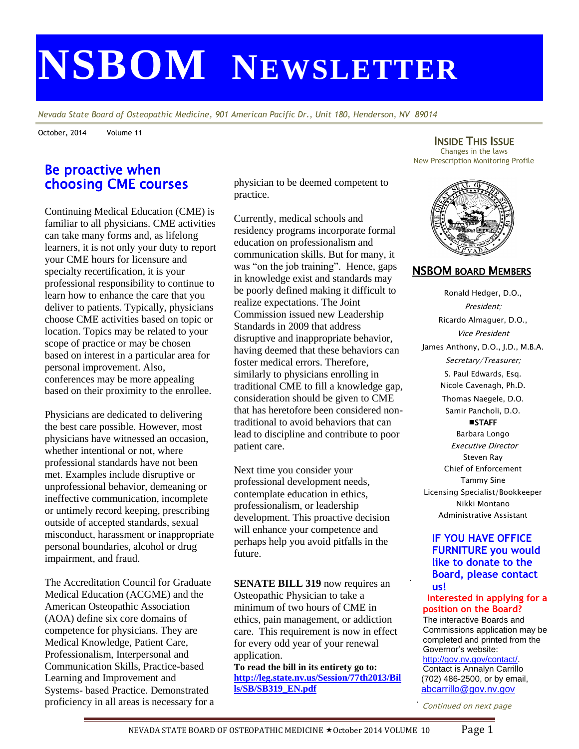# **NSBOM NEWSLETTER**

*Nevada State Board of Osteopathic Medicine, 901 American Pacific Dr., Unit 180, Henderson, NV 89014*

October, 2014 Volume 11

## Be proactive when choosing CME courses

Continuing Medical Education (CME) is familiar to all physicians. CME activities can take many forms and, as lifelong learners, it is not only your duty to report your CME hours for licensure and specialty recertification, it is your professional responsibility to continue to learn how to enhance the care that you deliver to patients. Typically, physicians choose CME activities based on topic or location. Topics may be related to your scope of practice or may be chosen based on interest in a particular area for personal improvement. Also, conferences may be more appealing based on their proximity to the enrollee.

Physicians are dedicated to delivering the best care possible. However, most physicians have witnessed an occasion, whether intentional or not, where professional standards have not been met. Examples include disruptive or unprofessional behavior, demeaning or ineffective communication, incomplete or untimely record keeping, prescribing outside of accepted standards, sexual misconduct, harassment or inappropriate personal boundaries, alcohol or drug impairment, and fraud.

The Accreditation Council for Graduate Medical Education (ACGME) and the American Osteopathic Association (AOA) define six core domains of competence for physicians. They are Medical Knowledge, Patient Care, Professionalism, Interpersonal and Communication Skills, Practice-based Learning and Improvement and Systems- based Practice. Demonstrated proficiency in all areas is necessary for a physician to be deemed competent to practice.

Currently, medical schools and residency programs incorporate formal education on professionalism and communication skills. But for many, it was "on the job training". Hence, gaps in knowledge exist and standards may be poorly defined making it difficult to realize expectations. The Joint Commission issued new Leadership Standards in 2009 that address disruptive and inappropriate behavior, having deemed that these behaviors can foster medical errors. Therefore, similarly to physicians enrolling in traditional CME to fill a knowledge gap, consideration should be given to CME that has heretofore been considered nontraditional to avoid behaviors that can lead to discipline and contribute to poor patient care.

Next time you consider your professional development needs, contemplate education in ethics, professionalism, or leadership development. This proactive decision will enhance your competence and perhaps help you avoid pitfalls in the future.

**SENATE BILL 319** now requires an Osteopathic Physician to take a minimum of two hours of CME in ethics, pain management, or addiction care. This requirement is now in effect for every odd year of your renewal application.

**To read the bill in its entirety go to: [http://leg.state.nv.us/Session/77th2013/Bil](http://leg.state.nv.us/Session/77th2013/Bills/SB/SB319_EN.pdf) [ls/SB/SB319\\_EN.pdf](http://leg.state.nv.us/Session/77th2013/Bills/SB/SB319_EN.pdf)**

INSIDE THIS ISSUE Changes in the laws New Prescription Monitoring Profile



## NSBOM BOARD MEMBERS

Ronald Hedger, D.O., President; Ricardo Almaguer, D.O., Vice President James Anthony, D.O., J.D., M.B.A. Secretary/Treasurer; S. Paul Edwards, Esq. Nicole Cavenagh, Ph.D. Thomas Naegele, D.O. Samir Pancholi, D.O. **STAFF** Barbara Longo Executive Director Steven Ray Chief of Enforcement Tammy Sine Licensing Specialist/Bookkeeper

Nikki Montano Administrative Assistant

## **IF YOU HAVE OFFICE FURNITURE you would like to donate to the Board, please contact us!**

.

#### **Interested in applying for a position on the Board?**

The interactive Boards and Commissions application may be completed and printed from the Governor's website:

[http://gov.nv.gov/contact/.](http://gov.nv.gov/contact/) Contact is Annalyn Carrillo (702) 486-2500, or by email, [abcarrillo@gov.nv.gov](mailto:abcarrillo@gov.nv.gov)

Continued on next page .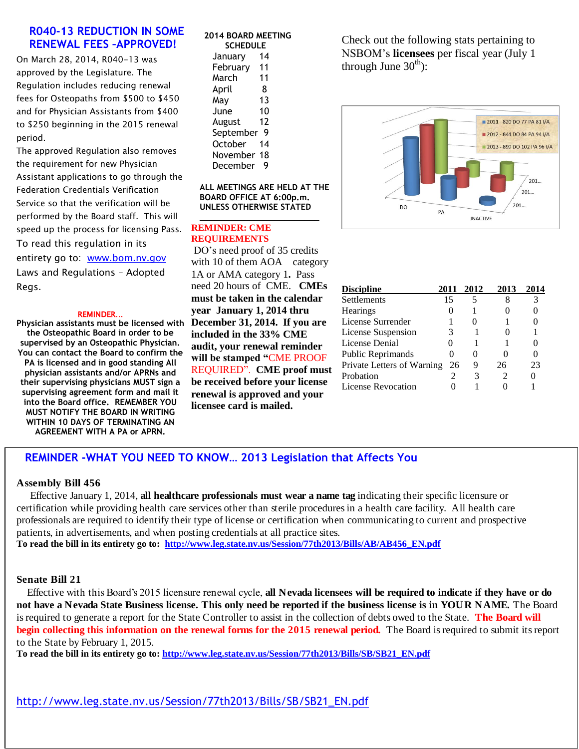## **R040-13 REDUCTION IN SOME RENEWAL FEES –APPROVED!**

On March 28, 2014, R040-13 was approved by the Legislature. The Regulation includes reducing renewal fees for Osteopaths from \$500 to \$450 and for Physician Assistants from \$400 to \$250 beginning in the 2015 renewal period.

The approved Regulation also removes the requirement for new Physician Assistant applications to go through the Federation Credentials Verification Service so that the verification will be performed by the Board staff. This will speed up the process for licensing Pass. To read this regulation in its entirety go to: [www.bom.nv.gov](http://www.bom.nv.gov/) Laws and Regulations – Adopted Regs.

#### REMINDER…

**Physician assistants must be licensed with the Osteopathic Board in order to be supervised by an Osteopathic Physician. You can contact the Board to confirm the PA is licensed and in good standing All physician assistants and/or APRNs and their supervising physicians MUST sign a supervising agreement form and mail it into the Board office. REMEMBER YOU MUST NOTIFY THE BOARD IN WRITING WITHIN 10 DAYS OF TERMINATING AN AGREEMENT WITH A PA or APRN.**

#### **2014 BOARD MEETING SCHEDULE**

| SLNEV<br>u     |    |  |  |
|----------------|----|--|--|
| January        | 14 |  |  |
| February       | 11 |  |  |
| March          | 11 |  |  |
| April          | 8  |  |  |
| May            | 13 |  |  |
| June           | 10 |  |  |
| August         | 12 |  |  |
| September      | g  |  |  |
| <b>October</b> | 14 |  |  |
| November 18    |    |  |  |
| December       | g  |  |  |

**ALL MEETINGS ARE HELD AT THE BOARD OFFICE AT 6:00p.m. UNLESS OTHERWISE STATED**

**\_\_\_\_\_\_\_\_\_\_\_\_\_\_\_\_\_\_\_\_\_\_\_\_**

#### **REMINDER: CME REQUIREMENTS**

DO's need proof of 35 credits with 10 of them AOA category 1A or AMA category 1**.** Pass need 20 hours of CME. **CMEs must be taken in the calendar year January 1, 2014 thru December 31, 2014. If you are included in the 33% CME audit, your renewal reminder will be stamped "**CME PROOF REQUIRED". **CME proof must be received before your license renewal is approved and your licensee card is mailed.**

Check out the following stats pertaining to NSBOM's **licensees** per fiscal year (July 1 through June  $30<sup>th</sup>$ :



| <b>Discipline</b>          | 2011 | 2012     | 2013 |    |
|----------------------------|------|----------|------|----|
| Settlements                | 15   |          |      |    |
| <b>Hearings</b>            |      |          |      |    |
| License Surrender          |      | 0        |      |    |
| License Suspension         | 3    |          |      |    |
| License Denial             |      |          |      |    |
| Public Reprimands          |      | $^{(1)}$ |      |    |
| Private Letters of Warning | 26   | 9        | 26   | 23 |
| Probation                  |      | 3        |      |    |
| <b>License Revocation</b>  |      |          |      |    |

## **REMINDER -WHAT YOU NEED TO KNOW… 2013 Legislation that Affects You**

#### **Assembly Bill 456**

Effective January 1, 2014, **all healthcare professionals must wear a name tag** indicating their specific licensure or certification while providing health care services other than sterile procedures in a health care facility. All health care professionals are required to identify their type of license or certification when communicating to current and prospective patients, in advertisements, and when posting credentials at all practice sites. **To read the bill in its entirety go to: [http://www.leg.state.nv.us/Session/77th2013/Bills/AB/AB456\\_EN.pdf](http://www.leg.state.nv.us/Session/77th2013/Bills/AB/AB456_EN.pdf)**

#### **Senate Bill 21**

 Effective with this Board's 2015 licensure renewal cycle, **all Nevada licensees will be required to indicate if they have or do not have a Nevada State Business license. This only need be reported if the business license is in YOUR NAME.** The Board is required to generate a report for the State Controller to assist in the collection of debts owed to the State. **The Board will begin collecting this information on the renewal forms for the 2015 renewal period.** The Board is required to submit its report to the State by February 1, 2015.

**To read the bill in its entirety go to: [http://www.leg.state.nv.us/Session/77th2013/Bills/SB/SB21\\_EN.pdf](http://www.leg.state.nv.us/Session/77th2013/Bills/SB/SB21_EN.pdf)**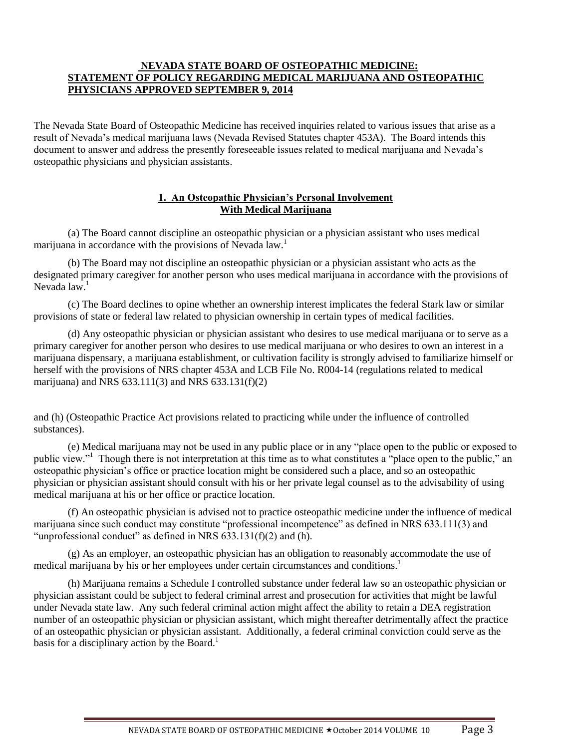### **NEVADA STATE BOARD OF OSTEOPATHIC MEDICINE: STATEMENT OF POLICY REGARDING MEDICAL MARIJUANA AND OSTEOPATHIC PHYSICIANS APPROVED SEPTEMBER 9, 2014**

The Nevada State Board of Osteopathic Medicine has received inquiries related to various issues that arise as a result of Nevada's medical marijuana laws (Nevada Revised Statutes chapter 453A). The Board intends this document to answer and address the presently foreseeable issues related to medical marijuana and Nevada's osteopathic physicians and physician assistants.

## **1. An Osteopathic Physician's Personal Involvement With Medical Marijuana**

(a) The Board cannot discipline an osteopathic physician or a physician assistant who uses medical marijuana in accordance with the provisions of Nevada law.<sup>1</sup>

(b) The Board may not discipline an osteopathic physician or a physician assistant who acts as the designated primary caregiver for another person who uses medical marijuana in accordance with the provisions of Nevada  $law<sup>1</sup>$ 

(c) The Board declines to opine whether an ownership interest implicates the federal Stark law or similar provisions of state or federal law related to physician ownership in certain types of medical facilities.

(d) Any osteopathic physician or physician assistant who desires to use medical marijuana or to serve as a primary caregiver for another person who desires to use medical marijuana or who desires to own an interest in a marijuana dispensary, a marijuana establishment, or cultivation facility is strongly advised to familiarize himself or herself with the provisions of NRS chapter 453A and LCB File No. R004-14 (regulations related to medical marijuana) and NRS  $633.111(3)$  and NRS  $633.131(f)(2)$ 

and (h) (Osteopathic Practice Act provisions related to practicing while under the influence of controlled substances).

(e) Medical marijuana may not be used in any public place or in any "place open to the public or exposed to public view."<sup>1</sup> Though there is not interpretation at this time as to what constitutes a "place open to the public," an osteopathic physician's office or practice location might be considered such a place, and so an osteopathic physician or physician assistant should consult with his or her private legal counsel as to the advisability of using medical marijuana at his or her office or practice location.

(f) An osteopathic physician is advised not to practice osteopathic medicine under the influence of medical marijuana since such conduct may constitute "professional incompetence" as defined in NRS 633.111(3) and "unprofessional conduct" as defined in NRS  $\overline{633.131(f)(2)}$  and (h).

(g) As an employer, an osteopathic physician has an obligation to reasonably accommodate the use of medical marijuana by his or her employees under certain circumstances and conditions.<sup>1</sup>

(h) Marijuana remains a Schedule I controlled substance under federal law so an osteopathic physician or physician assistant could be subject to federal criminal arrest and prosecution for activities that might be lawful under Nevada state law. Any such federal criminal action might affect the ability to retain a DEA registration number of an osteopathic physician or physician assistant, which might thereafter detrimentally affect the practice of an osteopathic physician or physician assistant. Additionally, a federal criminal conviction could serve as the basis for a disciplinary action by the Board.<sup>1</sup>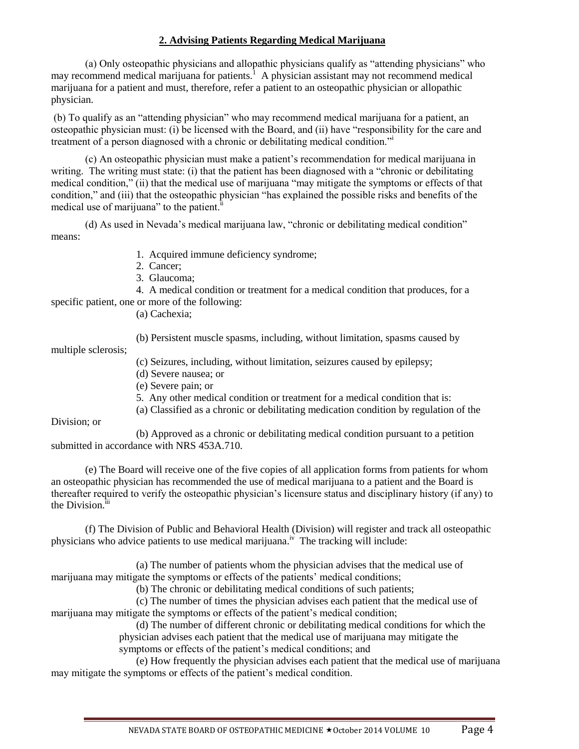## **2. Advising Patients Regarding Medical Marijuana**

(a) Only osteopathic physicians and allopathic physicians qualify as "attending physicians" who may recommend medical marijuana for patients.<sup>1</sup> A physician assistant may not recommend medical marijuana for a patient and must, therefore, refer a patient to an osteopathic physician or allopathic physician.

(b) To qualify as an "attending physician" who may recommend medical marijuana for a patient, an osteopathic physician must: (i) be licensed with the Board, and (ii) have "responsibility for the care and treatment of a person diagnosed with a chronic or debilitating medical condition."<sup>i</sup>

(c) An osteopathic physician must make a patient's recommendation for medical marijuana in writing. The writing must state: (i) that the patient has been diagnosed with a "chronic or debilitating medical condition," (ii) that the medical use of marijuana "may mitigate the symptoms or effects of that condition," and (iii) that the osteopathic physician "has explained the possible risks and benefits of the medical use of marijuana" to the patient.<sup>ii</sup>

(d) As used in Nevada's medical marijuana law, "chronic or debilitating medical condition" means:

- 1. Acquired immune deficiency syndrome;
- 2. Cancer;
- 3. Glaucoma;

4. A medical condition or treatment for a medical condition that produces, for a specific patient, one or more of the following:

(a) Cachexia;

(b) Persistent muscle spasms, including, without limitation, spasms caused by

multiple sclerosis;

- (c) Seizures, including, without limitation, seizures caused by epilepsy;
- (d) Severe nausea; or
- (e) Severe pain; or
- 5. Any other medical condition or treatment for a medical condition that is:

(a) Classified as a chronic or debilitating medication condition by regulation of the

Division; or

(b) Approved as a chronic or debilitating medical condition pursuant to a petition submitted in accordance with NRS 453A.710.

(e) The Board will receive one of the five copies of all application forms from patients for whom an osteopathic physician has recommended the use of medical marijuana to a patient and the Board is thereafter required to verify the osteopathic physician's licensure status and disciplinary history (if any) to the Division.<sup>iii</sup>

(f) The Division of Public and Behavioral Health (Division) will register and track all osteopathic physicians who advice patients to use medical marijuana.<sup>iv</sup> The tracking will include:

(a) The number of patients whom the physician advises that the medical use of marijuana may mitigate the symptoms or effects of the patients' medical conditions;

(b) The chronic or debilitating medical conditions of such patients;

(c) The number of times the physician advises each patient that the medical use of marijuana may mitigate the symptoms or effects of the patient's medical condition;

(d) The number of different chronic or debilitating medical conditions for which the physician advises each patient that the medical use of marijuana may mitigate the symptoms or effects of the patient's medical conditions; and

(e) How frequently the physician advises each patient that the medical use of marijuana may mitigate the symptoms or effects of the patient's medical condition.